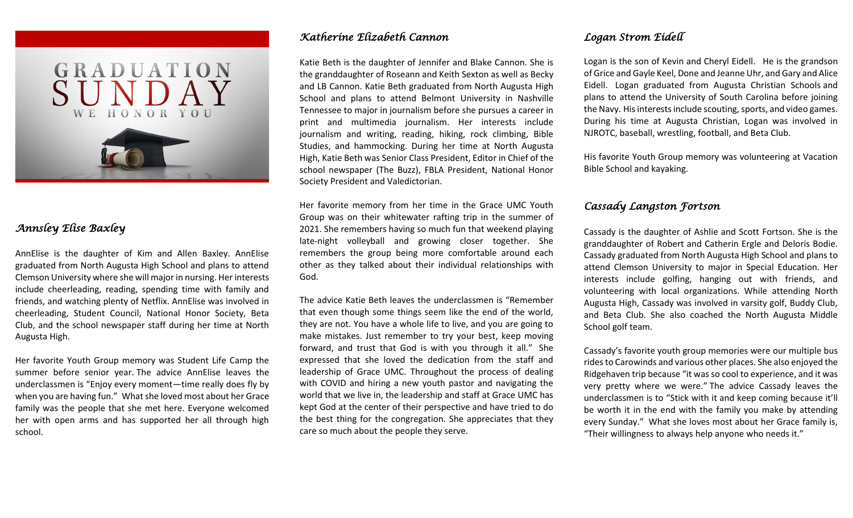

# *Annsley Elise Baxley*

AnnElise is the daughter of Kim and Allen Baxley. AnnElise graduated from North Augusta High School and plans to attend Clemson University where she will major in nursing. Her interests include cheerleading, reading, spending time with family and friends, and watching plenty of Netflix. AnnElise was involved in cheerleading, Student Council, National Honor Society, Beta Club, and the school newspaper staff during her time at North Augusta High.

Her favorite Youth Group memory was Student Life Camp the summer before senior year. The advice AnnElise leaves the underclassmen is "Enjoy every moment—time really does fly by when you are having fun." What she loved most about her Grace family was the people that she met here. Everyone welcomed her with open arms and has supported her all through high school.

#### *Katherine Elizabeth Cannon*

Katie Beth is the daughter of Jennifer and Blake Cannon. She is the granddaughter of Roseann and Keith Sexton as well as Becky and LB Cannon. Katie Beth graduated from North Augusta High School and plans to attend Belmont University in Nashville Tennessee to major in journalism before she pursues a career in print and multimedia journalism. Her interests include journalism and writing, reading, hiking, rock climbing, Bible Studies, and hammocking. During her time at North Augusta High, Katie Beth was Senior Class President, Editor in Chief of the school newspaper (The Buzz), FBLA President, National Honor Society President and Valedictorian.

Her favorite memory from her time in the Grace UMC Youth Group was on their whitewater rafting trip in the summer of 2021. She remembers having so much fun that weekend playing late-night volleyball and growing closer together. She remembers the group being more comfortable around each other as they talked about their individual relationships with God.

The advice Katie Beth leaves the underclassmen is "Remember that even though some things seem like the end of the world, they are not. You have a whole life to live, and you are going to make mistakes. Just remember to try your best, keep moving forward, and trust that God is with you through it all." She expressed that she loved the dedication from the staff and leadership of Grace UMC. Throughout the process of dealing with COVID and hiring a new youth pastor and navigating the world that we live in, the leadership and staff at Grace UMC has kept God at the center of their perspective and have tried to do the best thing for the congregation. She appreciates that they care so much about the people they serve.

#### *Logan Strom Eidell*

Logan is the son of Kevin and Cheryl Eidell. He is the grandson of Grice and Gayle Keel, Done and Jeanne Uhr, and Gary and Alice Eidell. Logan graduated from Augusta Christian Schools and plans to attend the University of South Carolina before joining the Navy. His interests include scouting, sports, and video games. During his time at Augusta Christian, Logan was involved in NJROTC, baseball, wrestling, football, and Beta Club.

His favorite Youth Group memory was volunteering at Vacation Bible School and kayaking.

#### *Cassady Langston Fortson*

Cassady is the daughter of Ashlie and Scott Fortson. She is the granddaughter of Robert and Catherin Ergle and Deloris Bodie. Cassady graduated from North Augusta High School and plans to attend Clemson University to major in Special Education. Her interests include golfing, hanging out with friends, and volunteering with local organizations. While attending North Augusta High, Cassady was involved in varsity golf, Buddy Club, and Beta Club. She also coached the North Augusta Middle School golf team.

Cassady's favorite youth group memories were our multiple bus rides to Carowinds and various other places. She also enjoyed the Ridgehaven trip because "it was so cool to experience, and it was very pretty where we were." The advice Cassady leaves the underclassmen is to "Stick with it and keep coming because it'll be worth it in the end with the family you make by attending every Sunday." What she loves most about her Grace family is, "Their willingness to always help anyone who needs it."